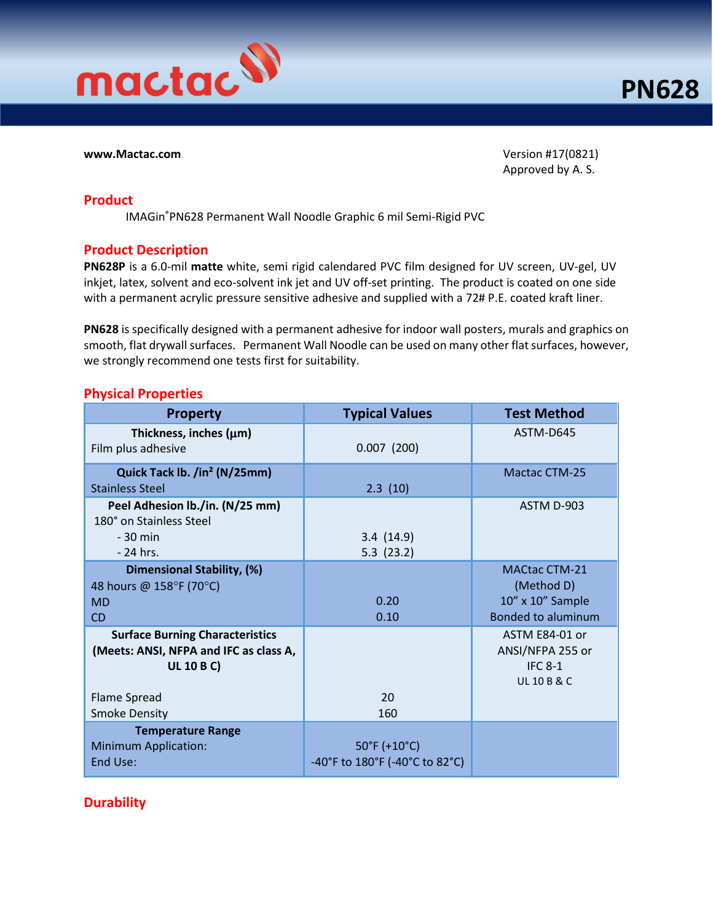

**www.Mactac.com** Version #17(0821) Approved by A. S.

### **Product**

IMAGin®PN628 Permanent Wall Noodle Graphic 6 mil Semi-Rigid PVC

### **Product Description**

**PN628P** is a 6.0-mil **matte** white, semi rigid calendared PVC film designed for UV screen, UV-gel, UV inkjet, latex, solvent and eco-solvent ink jet and UV off-set printing. The product is coated on one side with a permanent acrylic pressure sensitive adhesive and supplied with a 72# P.E. coated kraft liner.

**PN628** is specifically designed with a permanent adhesive for indoor wall posters, murals and graphics on smooth, flat drywall surfaces. Permanent Wall Noodle can be used on many other flat surfaces, however, we strongly recommend one tests first for suitability.

### **Physical Properties**

| <b>Property</b>                                                                                                              | <b>Typical Values</b>                                               | <b>Test Method</b>                                                                  |
|------------------------------------------------------------------------------------------------------------------------------|---------------------------------------------------------------------|-------------------------------------------------------------------------------------|
| Thickness, inches $(\mu m)$<br>Film plus adhesive                                                                            | 0.007(200)                                                          | ASTM-D645                                                                           |
| Quick Tack lb. /in <sup>2</sup> (N/25mm)<br><b>Stainless Steel</b>                                                           | 2.3(10)                                                             | <b>Mactac CTM-25</b>                                                                |
| Peel Adhesion lb./in. (N/25 mm)<br>180° on Stainless Steel<br>$-30$ min<br>$-24$ hrs.                                        | 3.4(14.9)<br>5.3(23.2)                                              | ASTM D-903                                                                          |
| Dimensional Stability, (%)<br>48 hours @ 158°F (70°C)<br><b>MD</b><br><b>CD</b>                                              | 0.20<br>0.10                                                        | <b>MACtac CTM-21</b><br>(Method D)<br>10" x 10" Sample<br><b>Bonded to aluminum</b> |
| <b>Surface Burning Characteristics</b><br>(Meets: ANSI, NFPA and IFC as class A,<br><b>UL 10 B C)</b><br><b>Flame Spread</b> | 20                                                                  | ASTM E84-01 or<br>ANSI/NFPA 255 or<br><b>IFC 8-1</b><br><b>UL 10 B &amp; C</b>      |
| <b>Smoke Density</b>                                                                                                         | 160                                                                 |                                                                                     |
| <b>Temperature Range</b><br>Minimum Application:<br>End Use:                                                                 | $50^{\circ}$ F (+10 $^{\circ}$ C)<br>-40°F to 180°F (-40°C to 82°C) |                                                                                     |

## **Durability**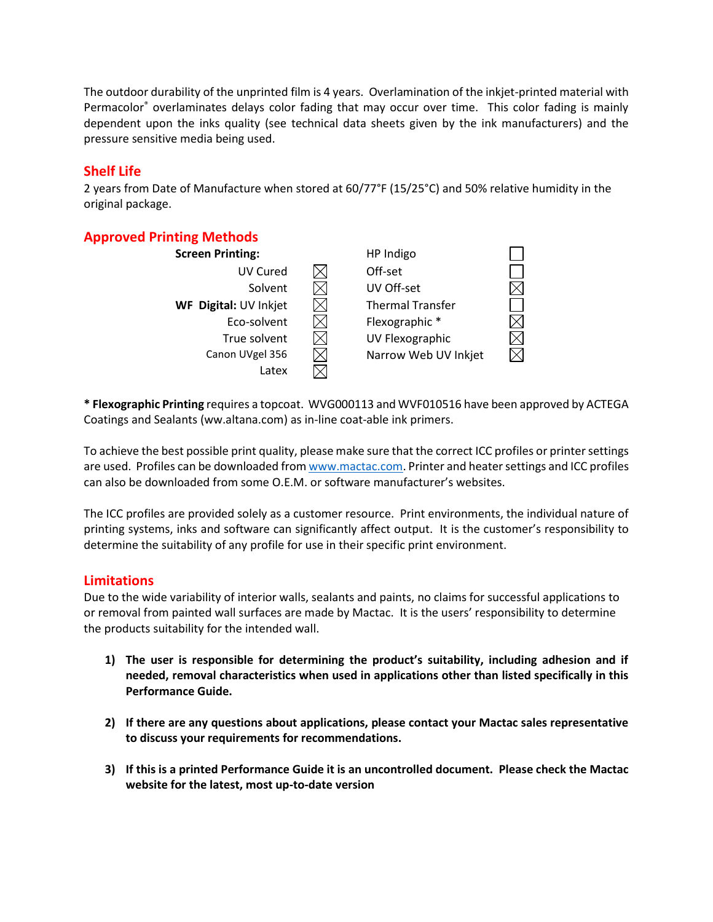The outdoor durability of the unprinted film is 4 years. Overlamination of the inkjet-printed material with Permacolor® overlaminates delays color fading that may occur over time. This color fading is mainly dependent upon the inks quality (see technical data sheets given by the ink manufacturers) and the pressure sensitive media being used.

## **Shelf Life**

2 years from Date of Manufacture when stored at 60/77°F (15/25°C) and 50% relative humidity in the original package.

# **Approved Printing Methods**

| <b>Screen Printing:</b> | HP Indigo               |  |
|-------------------------|-------------------------|--|
| UV Cured                | Off-set                 |  |
| Solvent                 | UV Off-set              |  |
| WF Digital: UV Inkjet   | <b>Thermal Transfer</b> |  |
| Eco-solvent             | Flexographic *          |  |
| True solvent            | UV Flexographic         |  |
| Canon UVgel 356         | Narrow Web UV Inkjet    |  |
| Latex                   |                         |  |

**\* Flexographic Printing** requires a topcoat. WVG000113 and WVF010516 have been approved by ACTEGA Coatings and Sealants (ww.altana.com) as in-line coat-able ink primers.

To achieve the best possible print quality, please make sure that the correct ICC profiles or printer settings are used. Profiles can be downloaded fro[m www.mactac.com.](http://www.mactac.com/) Printer and heater settings and ICC profiles can also be downloaded from some O.E.M. or software manufacturer's websites.

The ICC profiles are provided solely as a customer resource. Print environments, the individual nature of printing systems, inks and software can significantly affect output. It is the customer's responsibility to determine the suitability of any profile for use in their specific print environment.

## **Limitations**

Due to the wide variability of interior walls, sealants and paints, no claims for successful applications to or removal from painted wall surfaces are made by Mactac. It is the users' responsibility to determine the products suitability for the intended wall.

- **1) The user is responsible for determining the product's suitability, including adhesion and if needed, removal characteristics when used in applications other than listed specifically in this Performance Guide.**
- **2) If there are any questions about applications, please contact your Mactac sales representative to discuss your requirements for recommendations.**
- **3) If this is a printed Performance Guide it is an uncontrolled document. Please check the Mactac website for the latest, most up-to-date version**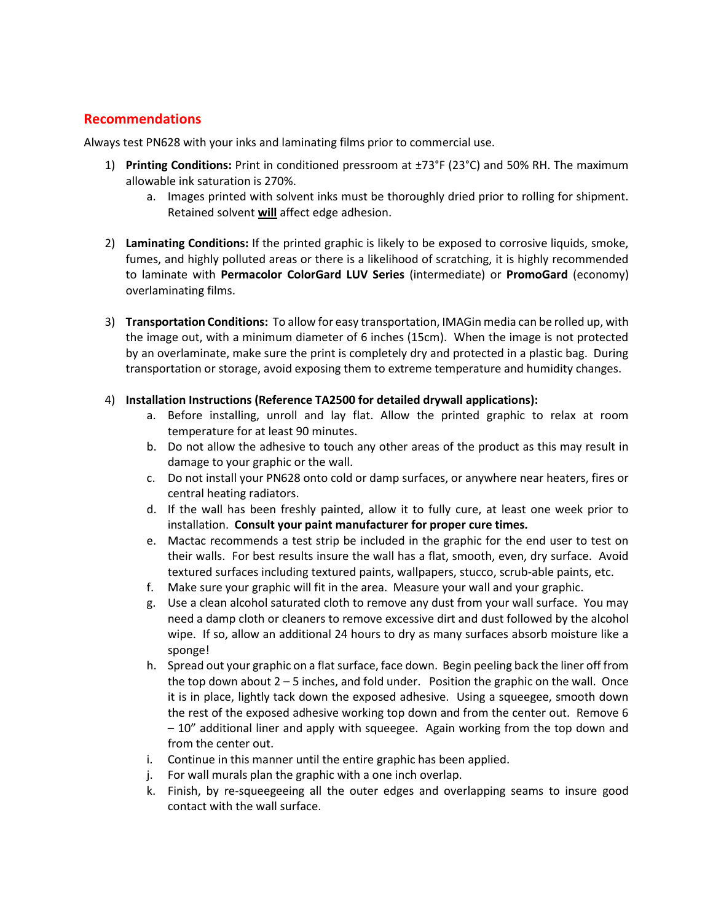## **Recommendations**

Always test PN628 with your inks and laminating films prior to commercial use.

- 1) **Printing Conditions:** Print in conditioned pressroom at ±73°F (23°C) and 50% RH. The maximum allowable ink saturation is 270%.
	- a. Images printed with solvent inks must be thoroughly dried prior to rolling for shipment. Retained solvent **will** affect edge adhesion.
- 2) **Laminating Conditions:** If the printed graphic is likely to be exposed to corrosive liquids, smoke, fumes, and highly polluted areas or there is a likelihood of scratching, it is highly recommended to laminate with **Permacolor ColorGard LUV Series** (intermediate) or **PromoGard** (economy) overlaminating films.
- 3) **Transportation Conditions:** To allow for easy transportation, IMAGin media can be rolled up, with the image out, with a minimum diameter of 6 inches (15cm). When the image is not protected by an overlaminate, make sure the print is completely dry and protected in a plastic bag. During transportation or storage, avoid exposing them to extreme temperature and humidity changes.

#### 4) **Installation Instructions (Reference TA2500 for detailed drywall applications):**

- a. Before installing, unroll and lay flat. Allow the printed graphic to relax at room temperature for at least 90 minutes.
- b. Do not allow the adhesive to touch any other areas of the product as this may result in damage to your graphic or the wall.
- c. Do not install your PN628 onto cold or damp surfaces, or anywhere near heaters, fires or central heating radiators.
- d. If the wall has been freshly painted, allow it to fully cure, at least one week prior to installation. **Consult your paint manufacturer for proper cure times.**
- e. Mactac recommends a test strip be included in the graphic for the end user to test on their walls. For best results insure the wall has a flat, smooth, even, dry surface. Avoid textured surfaces including textured paints, wallpapers, stucco, scrub-able paints, etc.
- f. Make sure your graphic will fit in the area. Measure your wall and your graphic.
- g. Use a clean alcohol saturated cloth to remove any dust from your wall surface. You may need a damp cloth or cleaners to remove excessive dirt and dust followed by the alcohol wipe. If so, allow an additional 24 hours to dry as many surfaces absorb moisture like a sponge!
- h. Spread out your graphic on a flat surface, face down. Begin peeling back the liner off from the top down about  $2 - 5$  inches, and fold under. Position the graphic on the wall. Once it is in place, lightly tack down the exposed adhesive. Using a squeegee, smooth down the rest of the exposed adhesive working top down and from the center out. Remove 6 – 10" additional liner and apply with squeegee. Again working from the top down and from the center out.
- i. Continue in this manner until the entire graphic has been applied.
- j. For wall murals plan the graphic with a one inch overlap.
- k. Finish, by re-squeegeeing all the outer edges and overlapping seams to insure good contact with the wall surface.